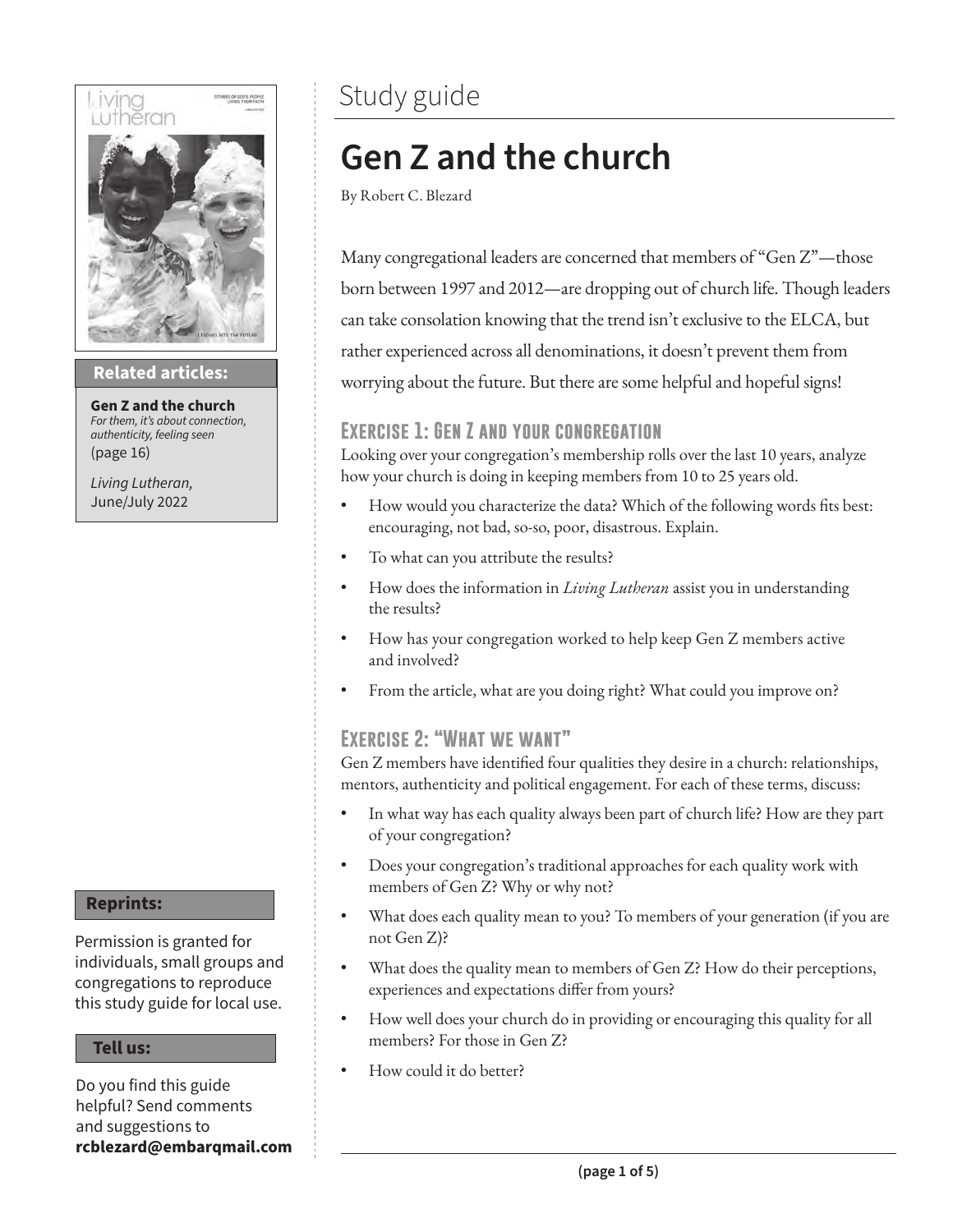

### **Then sings my soul Related articles:**

**Gen Z and the church**  *For them, it's about connection, authenticity, feeling seen* (page 16)

*Living Lutheran,* June/July 2022

#### **Reprints:**

Permission is granted for individuals, small groups and congregations to reproduce this study guide for local use.

#### **Tell us:**

Do you find this guide helpful? Send comments and suggestions to **rcblezard@embarqmail.com**

### Study guide

### **Gen Z and the church**

By Robert C. Blezard

Many congregational leaders are concerned that members of "Gen Z"—those born between 1997 and 2012—are dropping out of church life. Though leaders can take consolation knowing that the trend isn't exclusive to the ELCA, but rather experienced across all denominations, it doesn't prevent them from worrying about the future. But there are some helpful and hopeful signs!

### **Exercise 1: Gen Z and your congregation**

Looking over your congregation's membership rolls over the last 10 years, analyze how your church is doing in keeping members from 10 to 25 years old.

- How would you characterize the data? Which of the following words fits best: encouraging, not bad, so-so, poor, disastrous. Explain.
- To what can you attribute the results?
- How does the information in *Living Lutheran* assist you in understanding the results?
- How has your congregation worked to help keep Gen Z members active and involved?
- From the article, what are you doing right? What could you improve on?

### **Exercise 2: "What we want"**

Gen Z members have identified four qualities they desire in a church: relationships, mentors, authenticity and political engagement. For each of these terms, discuss:

- In what way has each quality always been part of church life? How are they part of your congregation?
- Does your congregation's traditional approaches for each quality work with members of Gen Z? Why or why not?
- What does each quality mean to you? To members of your generation (if you are not Gen Z)?
- What does the quality mean to members of Gen Z? How do their perceptions, experiences and expectations differ from yours?
- How well does your church do in providing or encouraging this quality for all members? For those in Gen Z?
- How could it do better?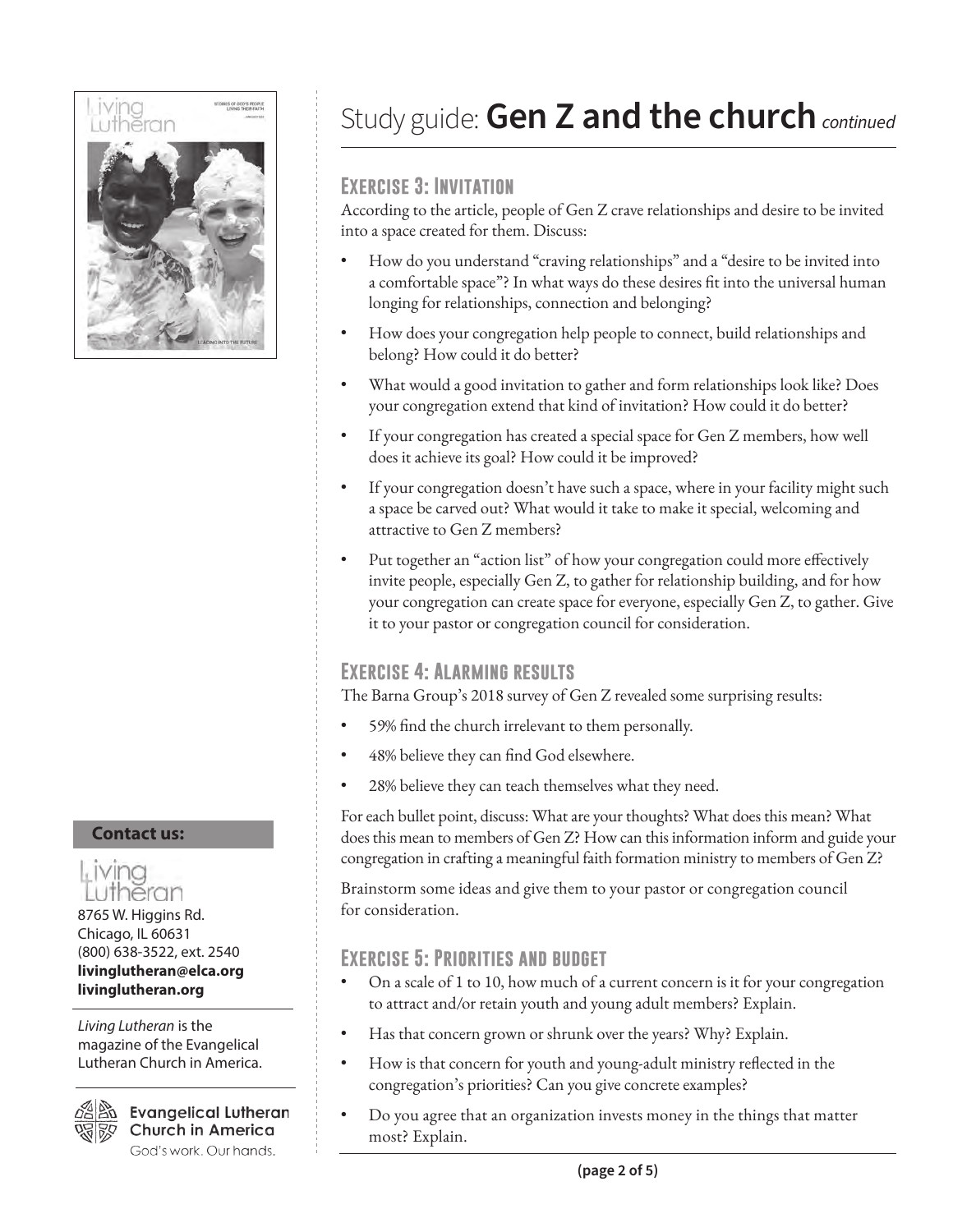

## **Contact us:**



8765 W. Higgins Rd. Chicago, IL 60631 (800) 638-3522, ext. 2540 **livinglutheran@elca.org livinglutheran.org**

*Living Lutheran* is the magazine of the Evangelical Lutheran Church in America.



മ്പ്ലീജ് Evangelical Lutheran **Church in America** God's work. Our hands.

### Study guide:**Gen Z and the church***continued*

### **Exercise 3: Invitation**

According to the article, people of Gen Z crave relationships and desire to be invited into a space created for them. Discuss:

- How do you understand "craving relationships" and a "desire to be invited into a comfortable space"? In what ways do these desires fit into the universal human longing for relationships, connection and belonging?
- How does your congregation help people to connect, build relationships and belong? How could it do better?
- What would a good invitation to gather and form relationships look like? Does your congregation extend that kind of invitation? How could it do better?
- If your congregation has created a special space for Gen Z members, how well does it achieve its goal? How could it be improved?
- If your congregation doesn't have such a space, where in your facility might such a space be carved out? What would it take to make it special, welcoming and attractive to Gen Z members?
- Put together an "action list" of how your congregation could more effectively invite people, especially Gen Z, to gather for relationship building, and for how your congregation can create space for everyone, especially Gen Z, to gather. Give it to your pastor or congregation council for consideration.

### **Exercise 4: Alarming results**

The Barna Group's 2018 survey of Gen Z revealed some surprising results:

- 59% find the church irrelevant to them personally.
- 48% believe they can find God elsewhere.
- 28% believe they can teach themselves what they need.

For each bullet point, discuss: What are your thoughts? What does this mean? What does this mean to members of Gen Z? How can this information inform and guide your congregation in crafting a meaningful faith formation ministry to members of Gen Z?

Brainstorm some ideas and give them to your pastor or congregation council for consideration.

### **Exercise 5: Priorities and budget**

- On a scale of 1 to 10, how much of a current concern is it for your congregation to attract and/or retain youth and young adult members? Explain.
- Has that concern grown or shrunk over the years? Why? Explain.
- How is that concern for youth and young-adult ministry reflected in the congregation's priorities? Can you give concrete examples?
- Do you agree that an organization invests money in the things that matter most? Explain.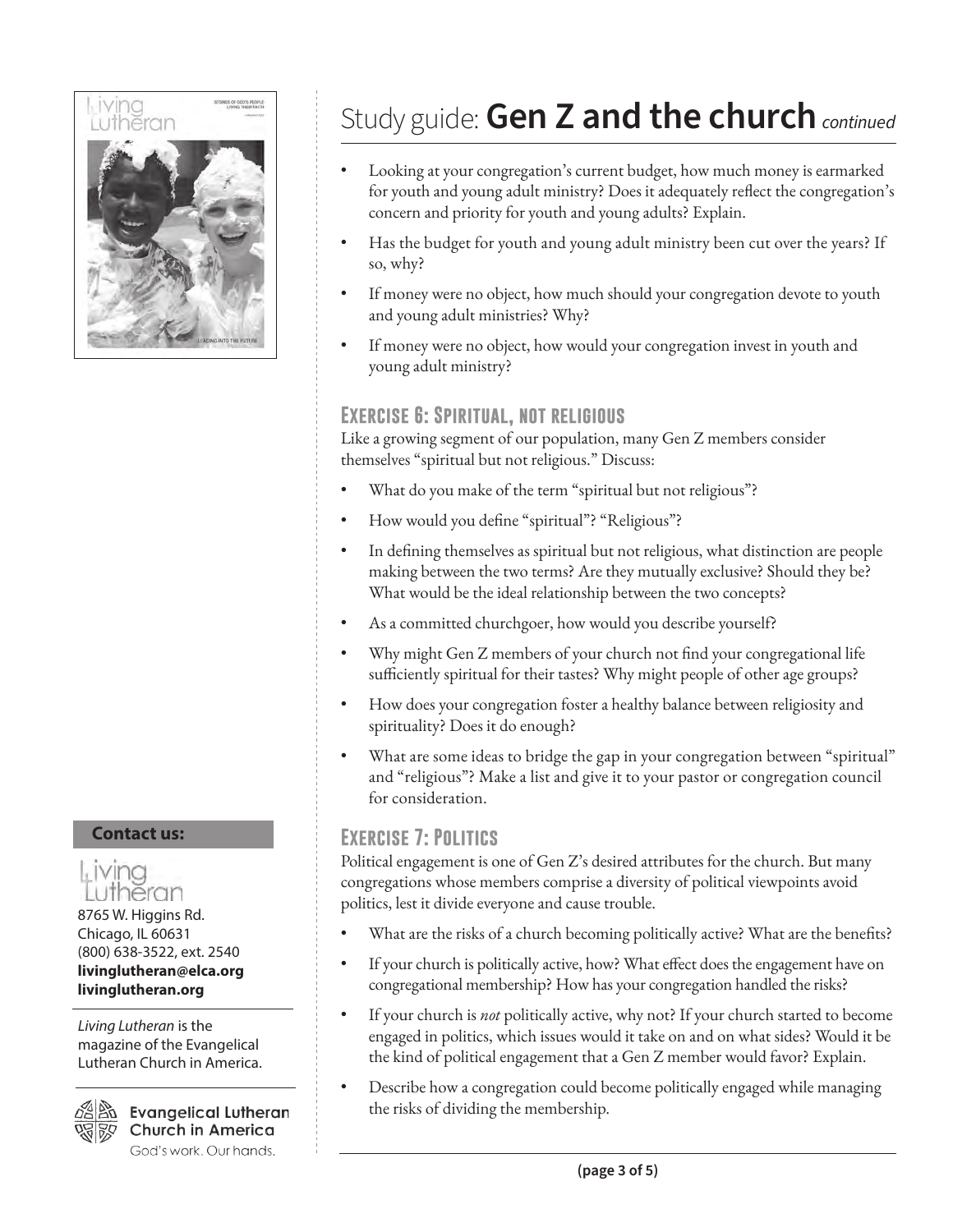

### **Contact us:**



8765 W. Higgins Rd. Chicago, IL 60631 (800) 638-3522, ext. 2540 **livinglutheran@elca.org livinglutheran.org**

*Living Lutheran* is the magazine of the Evangelical Lutheran Church in America.



 $\mathscr{E}\!\!\!\triangleleft\mathbb{R}$  Evangelical Lutheran **Church in America** God's work. Our hands.

## Study guide:**Gen Z and the church***continued*

- Looking at your congregation's current budget, how much money is earmarked for youth and young adult ministry? Does it adequately reflect the congregation's concern and priority for youth and young adults? Explain.
- Has the budget for youth and young adult ministry been cut over the years? If so, why?
- If money were no object, how much should your congregation devote to youth and young adult ministries? Why?
- If money were no object, how would your congregation invest in youth and young adult ministry?

### **Exercise 6: Spiritual, not religious**

Like a growing segment of our population, many Gen Z members consider themselves "spiritual but not religious." Discuss:

- What do you make of the term "spiritual but not religious"?
- How would you define "spiritual"? "Religious"?
- In defining themselves as spiritual but not religious, what distinction are people making between the two terms? Are they mutually exclusive? Should they be? What would be the ideal relationship between the two concepts?
- As a committed churchgoer, how would you describe yourself?
- Why might Gen Z members of your church not find your congregational life sufficiently spiritual for their tastes? Why might people of other age groups?
- How does your congregation foster a healthy balance between religiosity and spirituality? Does it do enough?
- What are some ideas to bridge the gap in your congregation between "spiritual" and "religious"? Make a list and give it to your pastor or congregation council for consideration.

### **Exercise 7: Politics**

Political engagement is one of Gen Z's desired attributes for the church. But many congregations whose members comprise a diversity of political viewpoints avoid politics, lest it divide everyone and cause trouble.

- What are the risks of a church becoming politically active? What are the benefits?
- If your church is politically active, how? What effect does the engagement have on congregational membership? How has your congregation handled the risks?
- If your church is *not* politically active, why not? If your church started to become engaged in politics, which issues would it take on and on what sides? Would it be the kind of political engagement that a Gen Z member would favor? Explain.
- Describe how a congregation could become politically engaged while managing the risks of dividing the membership.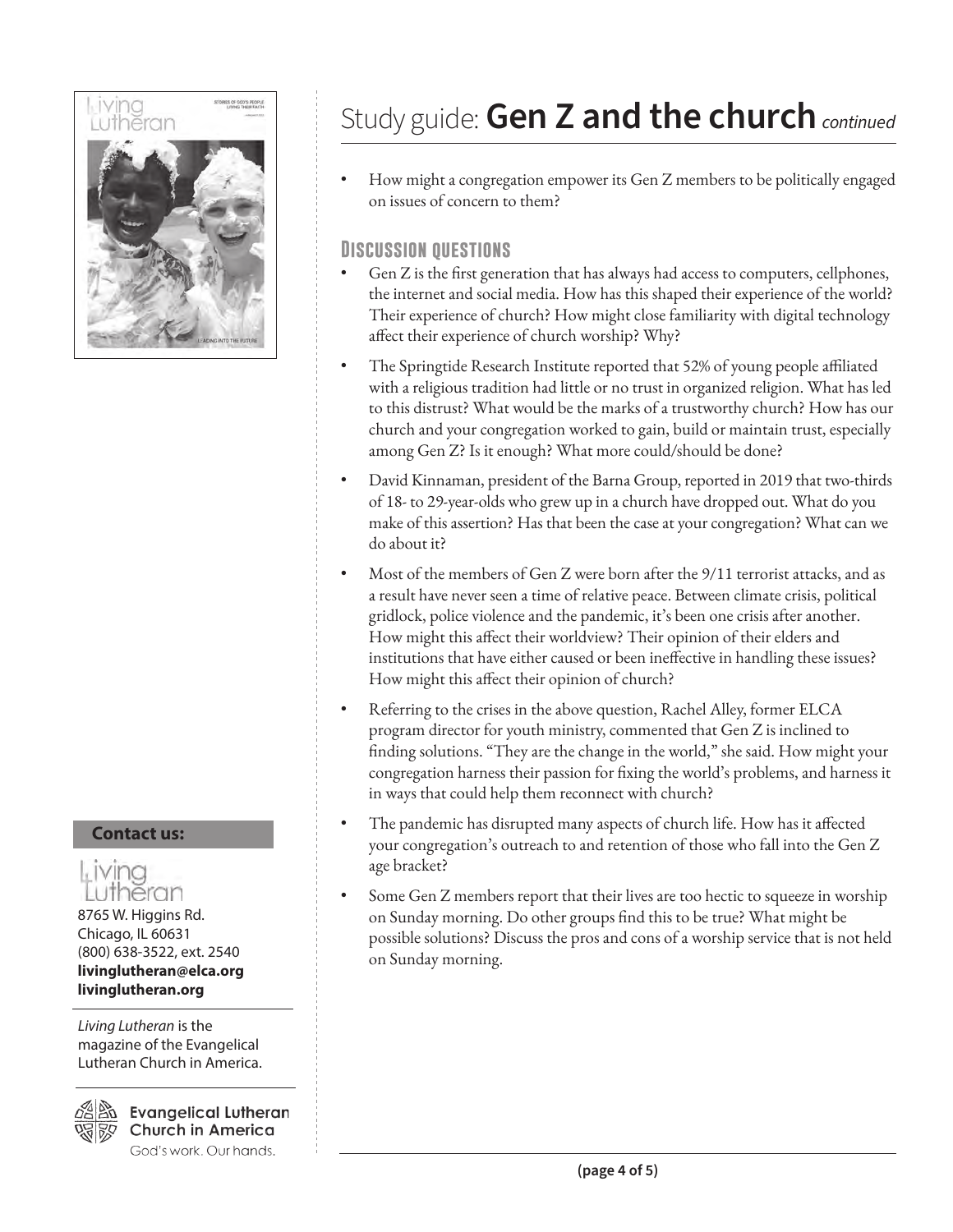

#### **Contact us:**

### , ivina eran

8765 W. Higgins Rd. Chicago, IL 60631 (800) 638-3522, ext. 2540 **livinglutheran@elca.org livinglutheran.org**

*Living Lutheran* is the magazine of the Evangelical Lutheran Church in America.

**Evangelical Lutheran Church in America** God's work. Our hands.

## Study guide:**Gen Z and the church***continued*

• How might a congregation empower its Gen Z members to be politically engaged on issues of concern to them?

### **Discussion questions**

- Gen Z is the first generation that has always had access to computers, cellphones, the internet and social media. How has this shaped their experience of the world? Their experience of church? How might close familiarity with digital technology affect their experience of church worship? Why?
- The Springtide Research Institute reported that 52% of young people affiliated with a religious tradition had little or no trust in organized religion. What has led to this distrust? What would be the marks of a trustworthy church? How has our church and your congregation worked to gain, build or maintain trust, especially among Gen Z? Is it enough? What more could/should be done?
- David Kinnaman, president of the Barna Group, reported in 2019 that two-thirds of 18- to 29-year-olds who grew up in a church have dropped out. What do you make of this assertion? Has that been the case at your congregation? What can we do about it?
- Most of the members of Gen Z were born after the 9/11 terrorist attacks, and as a result have never seen a time of relative peace. Between climate crisis, political gridlock, police violence and the pandemic, it's been one crisis after another. How might this affect their worldview? Their opinion of their elders and institutions that have either caused or been ineffective in handling these issues? How might this affect their opinion of church?
- Referring to the crises in the above question, Rachel Alley, former ELCA program director for youth ministry, commented that Gen Z is inclined to finding solutions. "They are the change in the world," she said. How might your congregation harness their passion for fixing the world's problems, and harness it in ways that could help them reconnect with church?
- The pandemic has disrupted many aspects of church life. How has it affected your congregation's outreach to and retention of those who fall into the Gen Z age bracket?
- Some Gen Z members report that their lives are too hectic to squeeze in worship on Sunday morning. Do other groups find this to be true? What might be possible solutions? Discuss the pros and cons of a worship service that is not held on Sunday morning.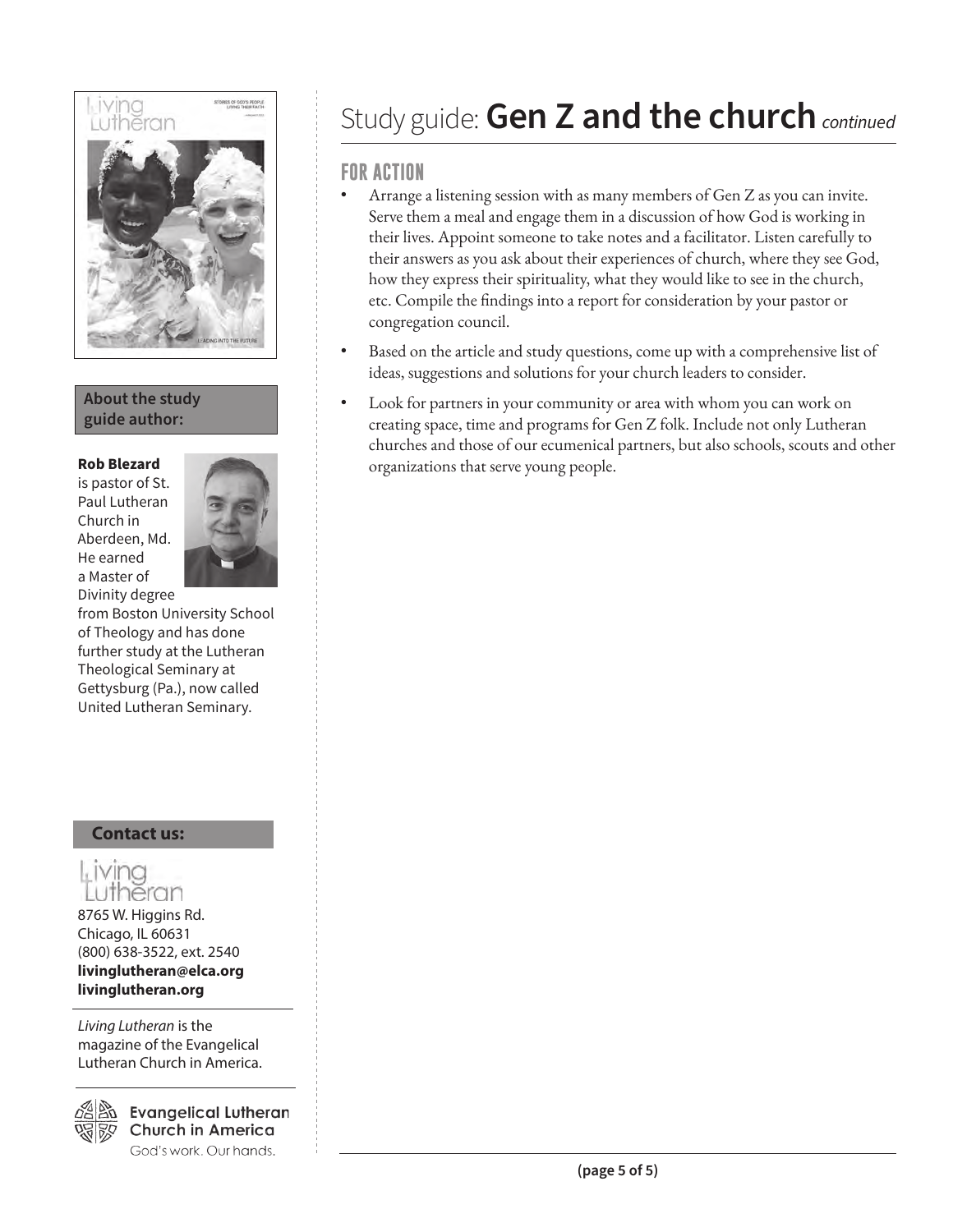

### **About the study guide author:**

is pastor of St. Paul Lutheran Church in Aberdeen, Md. He earned a Master of Divinity degree



from Boston University School of Theology and has done further study at the Lutheran Theological Seminary at Gettysburg (Pa.), now called United Lutheran Seminary.

### **Contact us:**

### Living theran

8765 W. Higgins Rd. Chicago, IL 60631 (800) 638-3522, ext. 2540 **livinglutheran@elca.org livinglutheran.org**

*Living Lutheran* is the magazine of the Evangelical Lutheran Church in America.



**Evangelical Lutheran Church in America** God's work. Our hands.

### Study guide:**Gen Z and the church***continued*

### **FOR ACTION**

- Arrange a listening session with as many members of Gen Z as you can invite. Serve them a meal and engage them in a discussion of how God is working in their lives. Appoint someone to take notes and a facilitator. Listen carefully to their answers as you ask about their experiences of church, where they see God, how they express their spirituality, what they would like to see in the church, etc. Compile the findings into a report for consideration by your pastor or congregation council.
- Based on the article and study questions, come up with a comprehensive list of ideas, suggestions and solutions for your church leaders to consider.
- Look for partners in your community or area with whom you can work on creating space, time and programs for Gen Z folk. Include not only Lutheran churches and those of our ecumenical partners, but also schools, scouts and other **Rob Blezard** organizations that serve young people.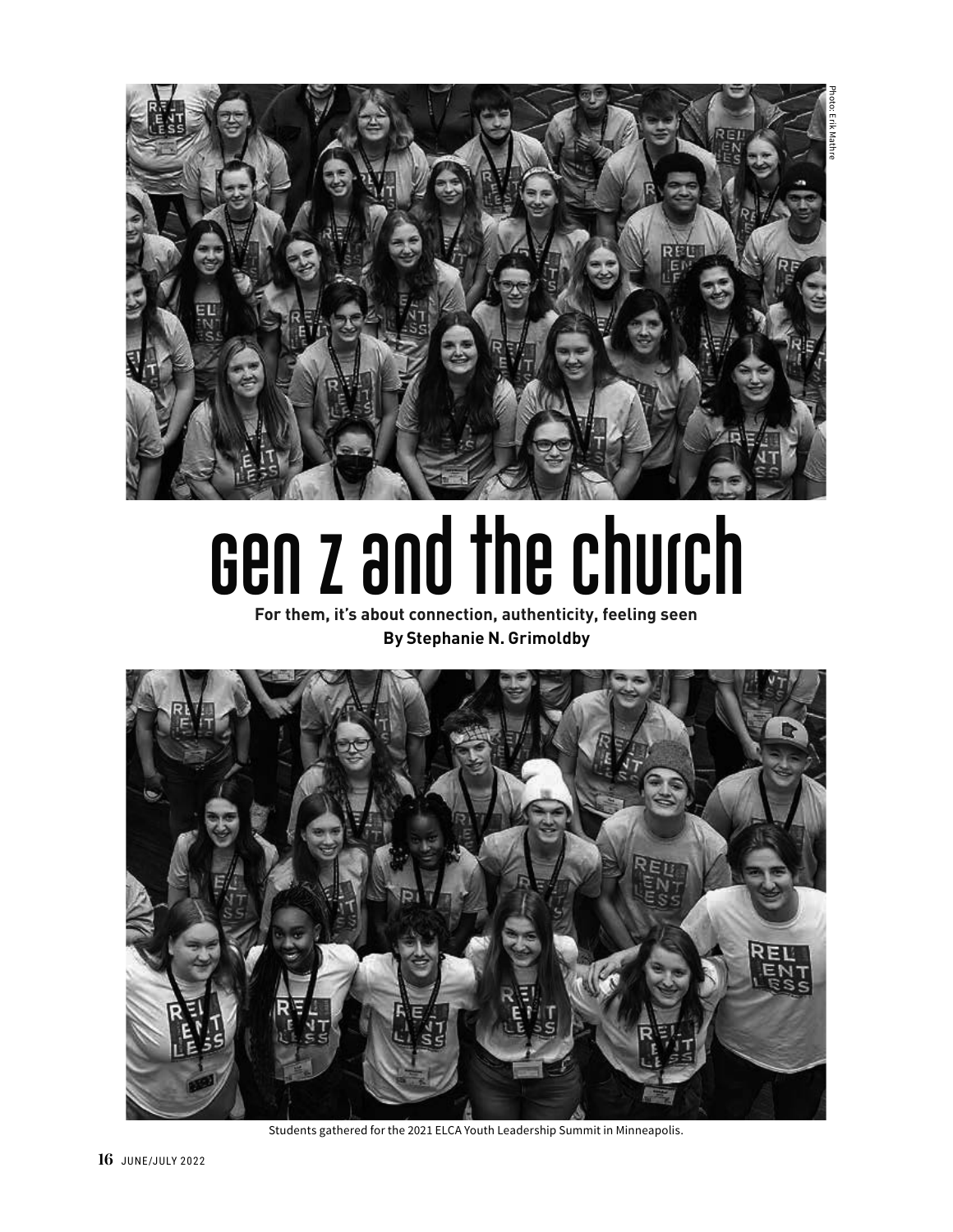



# **Gen Z and the church**

**For them, it's about connection, authenticity, feeling seen By Stephanie N. Grimoldby**



Students gathered for the 2021 ELCA Youth Leadership Summit in Minneapolis.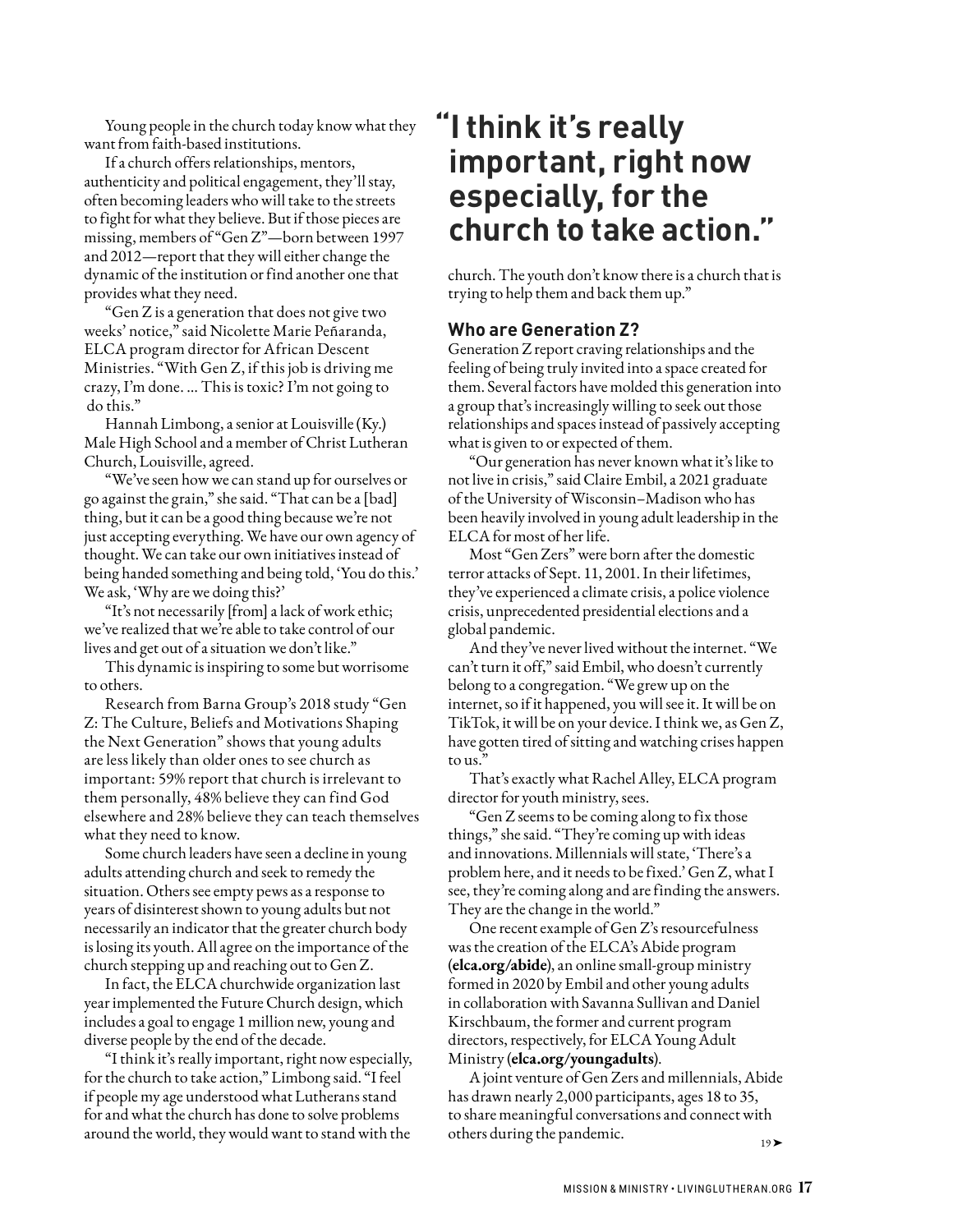Young people in the church today know what they want from faith-based institutions.

If a church offers relationships, mentors, authenticity and political engagement, they'll stay, often becoming leaders who will take to the streets to fight for what they believe. But if those pieces are missing, members of "Gen Z"—born between 1997 and 2012—report that they will either change the dynamic of the institution or find another one that provides what they need.

"Gen Z is a generation that does not give two weeks' notice," said Nicolette Marie Peñaranda, ELCA program director for African Descent Ministries. "With Gen Z, if this job is driving me crazy, I'm done. … This is toxic? I'm not going to do this."

Hannah Limbong, a senior at Louisville (Ky.) Male High School and a member of Christ Lutheran Church, Louisville, agreed.

"We've seen how we can stand up for ourselves or go against the grain," she said. "That can be a [bad] thing, but it can be a good thing because we're not just accepting everything. We have our own agency of thought. We can take our own initiatives instead of being handed something and being told, 'You do this.' We ask, 'Why are we doing this?'

"It's not necessarily [from] a lack of work ethic; we've realized that we're able to take control of our lives and get out of a situation we don't like."

This dynamic is inspiring to some but worrisome to others.

Research from Barna Group's 2018 study "Gen Z: The Culture, Beliefs and Motivations Shaping the Next Generation" shows that young adults are less likely than older ones to see church as important: 59% report that church is irrelevant to them personally, 48% believe they can find God elsewhere and 28% believe they can teach themselves what they need to know.

Some church leaders have seen a decline in young adults attending church and seek to remedy the situation. Others see empty pews as a response to years of disinterest shown to young adults but not necessarily an indicator that the greater church body is losing its youth. All agree on the importance of the church stepping up and reaching out to Gen Z.

In fact, the ELCA churchwide organization last year implemented the Future Church design, which includes a goal to engage 1 million new, young and diverse people by the end of the decade.

"I think it's really important, right now especially, for the church to take action," Limbong said. "I feel if people my age understood what Lutherans stand for and what the church has done to solve problems around the world, they would want to stand with the

### **"I think it's really important, right now especially, for the church to take action."**

church. The youth don't know there is a church that is trying to help them and back them up."

#### **Who are Generation Z?**

Generation Z report craving relationships and the feeling of being truly invited into a space created for them. Several factors have molded this generation into a group that's increasingly willing to seek out those relationships and spaces instead of passively accepting what is given to or expected of them.

"Our generation has never known what it's like to not live in crisis," said Claire Embil, a 2021 graduate of the University of Wisconsin–Madison who has been heavily involved in young adult leadership in the ELCA for most of her life.

Most "Gen Zers" were born after the domestic terror attacks of Sept. 11, 2001. In their lifetimes, they've experienced a climate crisis, a police violence crisis, unprecedented presidential elections and a global pandemic.

And they've never lived without the internet. "We can't turn it off," said Embil, who doesn't currently belong to a congregation. "We grew up on the internet, so if it happened, you will see it. It will be on TikTok, it will be on your device. I think we, as Gen Z, have gotten tired of sitting and watching crises happen to us."

That's exactly what Rachel Alley, ELCA program director for youth ministry, sees.

"Gen Z seems to be coming along to fix those things," she said. "They're coming up with ideas and innovations. Millennials will state, 'There's a problem here, and it needs to be fixed.' Gen Z, what I see, they're coming along and are finding the answers. They are the change in the world."

One recent example of Gen Z's resourcefulness was the creation of the ELCA's Abide program (**elca.org/abide**), an online small-group ministry formed in 2020 by Embil and other young adults in collaboration with Savanna Sullivan and Daniel Kirschbaum, the former and current program directors, respectively, for ELCA Young Adult Ministry (**elca.org/youngadults**).

A joint venture of Gen Zers and millennials, Abide has drawn nearly 2,000 participants, ages 18 to 35, to share meaningful conversations and connect with others during the pandemic.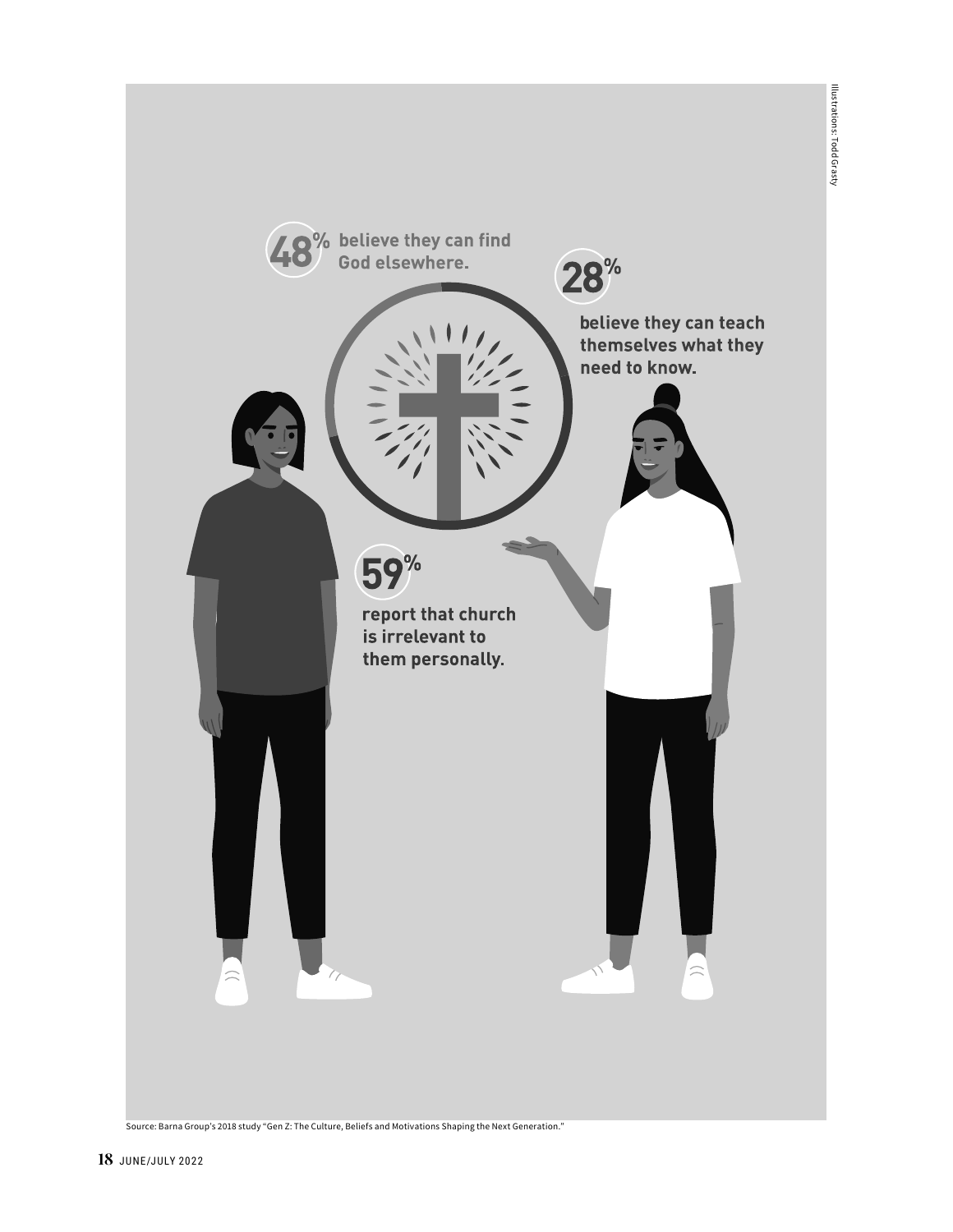

Source: Barna Group's 2018 study "Gen Z: The Culture, Beliefs and Motivations Shaping the Next Generation."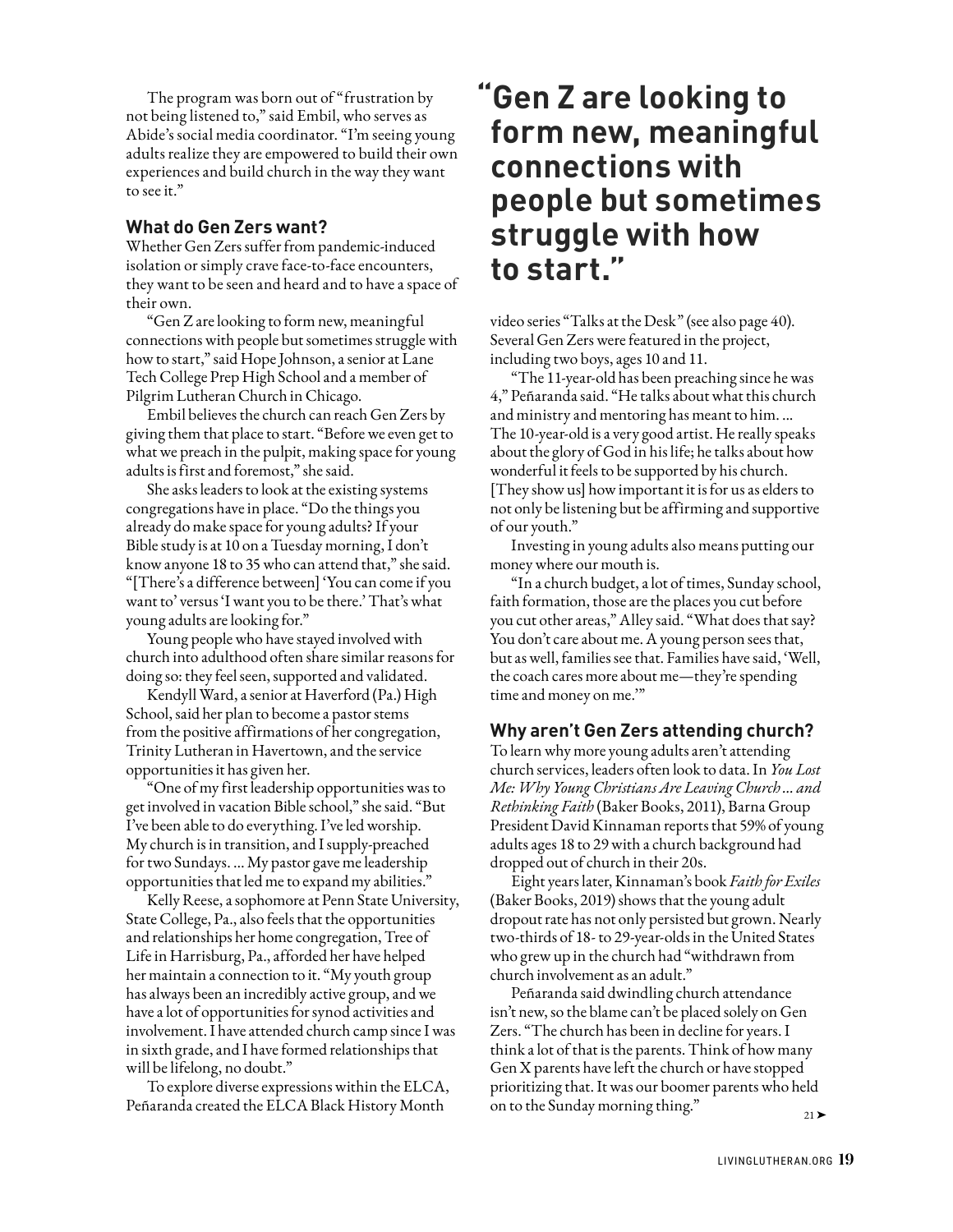The program was born out of "frustration by not being listened to," said Embil, who serves as Abide's social media coordinator. "I'm seeing young adults realize they are empowered to build their own experiences and build church in the way they want to see it."

#### **What do Gen Zers want?**

Whether Gen Zers suffer from pandemic-induced isolation or simply crave face-to-face encounters, they want to be seen and heard and to have a space of their own.

"Gen Z are looking to form new, meaningful connections with people but sometimes struggle with how to start," said Hope Johnson, a senior at Lane Tech College Prep High School and a member of Pilgrim Lutheran Church in Chicago.

Embil believes the church can reach Gen Zers by giving them that place to start. "Before we even get to what we preach in the pulpit, making space for young adults is first and foremost," she said.

She asks leaders to look at the existing systems congregations have in place. "Do the things you already do make space for young adults? If your Bible study is at 10 on a Tuesday morning, I don't know anyone 18 to 35 who can attend that," she said. "[There's a difference between] 'You can come if you want to' versus 'I want you to be there.' That's what young adults are looking for."

Young people who have stayed involved with church into adulthood often share similar reasons for doing so: they feel seen, supported and validated.

Kendyll Ward, a senior at Haverford (Pa.) High School, said her plan to become a pastor stems from the positive affirmations of her congregation, Trinity Lutheran in Havertown, and the service opportunities it has given her.

"One of my first leadership opportunities was to get involved in vacation Bible school," she said. "But I've been able to do everything. I've led worship. My church is in transition, and I supply-preached for two Sundays. … My pastor gave me leadership opportunities that led me to expand my abilities."

Kelly Reese, a sophomore at Penn State University, State College, Pa., also feels that the opportunities and relationships her home congregation, Tree of Life in Harrisburg, Pa., afforded her have helped her maintain a connection to it. "My youth group has always been an incredibly active group, and we have a lot of opportunities for synod activities and involvement. I have attended church camp since I was in sixth grade, and I have formed relationships that will be lifelong, no doubt."

To explore diverse expressions within the ELCA, Peñaranda created the ELCA Black History Month

### **"Gen Z are looking to form new, meaningful connections with people but sometimes struggle with how to start."**

video series "Talks at the Desk" (see also page 40). Several Gen Zers were featured in the project, including two boys, ages 10 and 11.

"The 11-year-old has been preaching since he was 4," Peñaranda said. "He talks about what this church and ministry and mentoring has meant to him. ... The 10-year-old is a very good artist. He really speaks about the glory of God in his life; he talks about how wonderful it feels to be supported by his church. [They show us] how important it is for us as elders to not only be listening but be affirming and supportive of our youth."

Investing in young adults also means putting our money where our mouth is.

"In a church budget, a lot of times, Sunday school, faith formation, those are the places you cut before you cut other areas," Alley said. "What does that say? You don't care about me. A young person sees that, but as well, families see that. Families have said, 'Well, the coach cares more about me—they're spending time and money on me.'"

#### **Why aren't Gen Zers attending church?**

To learn why more young adults aren't attending church services, leaders often look to data. In *You Lost Me: Why Young Christians Are Leaving Church ... and Rethinking Faith* (Baker Books, 2011), Barna Group President David Kinnaman reports that 59% of young adults ages 18 to 29 with a church background had dropped out of church in their 20s.

Eight years later, Kinnaman's book *Faith for Exiles* (Baker Books, 2019) shows that the young adult dropout rate has not only persisted but grown. Nearly two-thirds of 18- to 29-year-olds in the United States who grew up in the church had "withdrawn from church involvement as an adult."

Peñaranda said dwindling church attendance isn't new, so the blame can't be placed solely on Gen Zers. "The church has been in decline for years. I think a lot of that is the parents. Think of how many Gen X parents have left the church or have stopped prioritizing that. It was our boomer parents who held on to the Sunday morning thing."

 $21$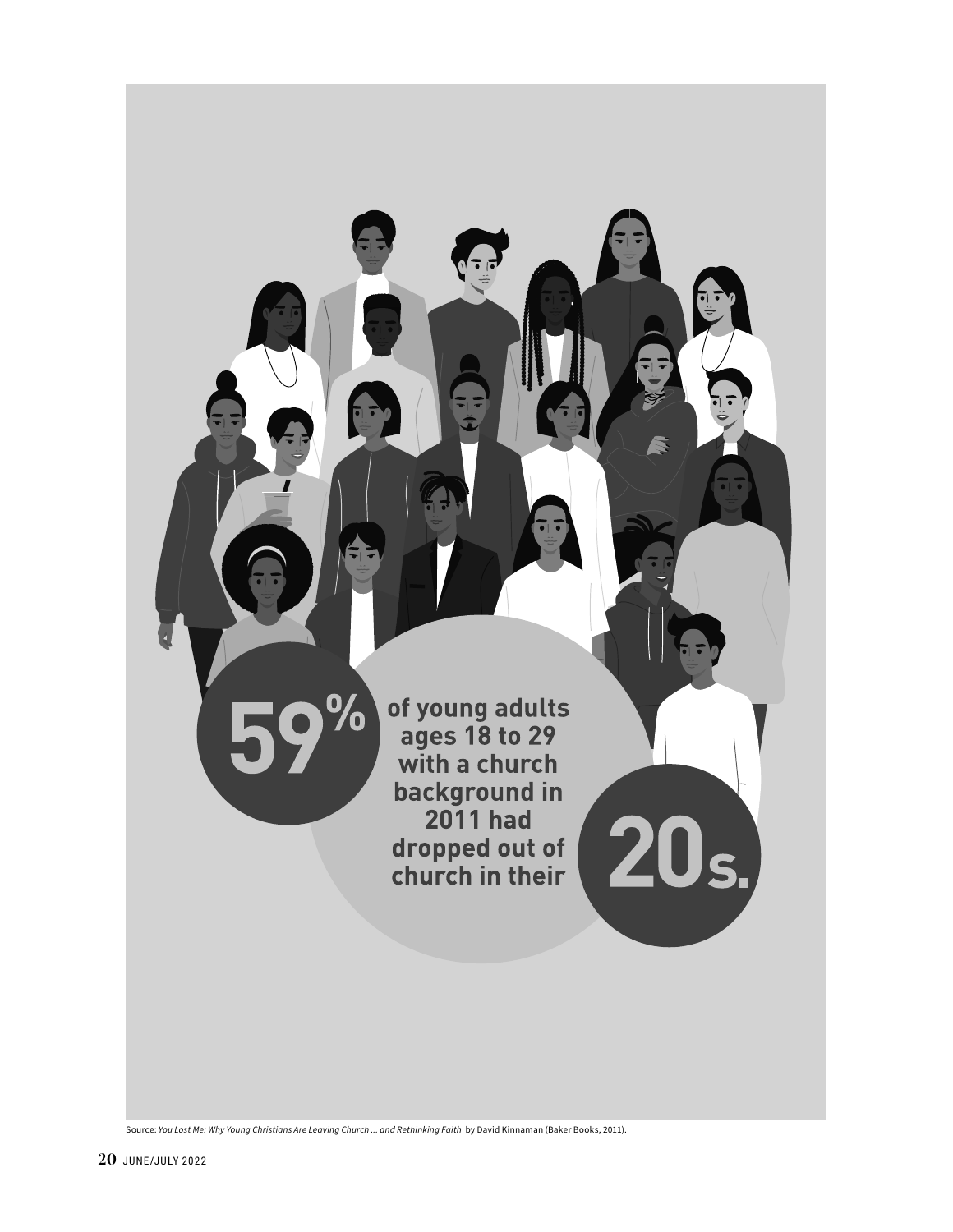

Source: *You Lost Me: Why Young Christians Are Leaving Church ... and Rethinking Faith* by David Kinnaman (Baker Books, 2011).